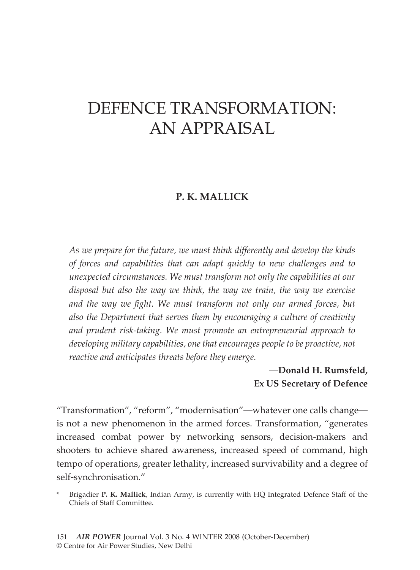# DEFENCE TRANSFORMATION: AN APPRaISAL

# **P. K. Mallick**

*As we prepare for the future, we must think differently and develop the kinds of forces and capabilities that can adapt quickly to new challenges and to unexpected circumstances. We must transform not only the capabilities at our disposal but also the way we think, the way we train, the way we exercise and the way we fight. We must transform not only our armed forces, but also the Department that serves them by encouraging a culture of creativity and prudent risk-taking. We must promote an entrepreneurial approach to developing military capabilities, one that encourages people to be proactive, not reactive and anticipates threats before they emerge.* 

# —**Donald H. Rumsfeld, Ex US Secretary of Defence**

"Transformation", "reform", "modernisation"—whatever one calls change is not a new phenomenon in the armed forces. Transformation, "generates increased combat power by networking sensors, decision-makers and shooters to achieve shared awareness, increased speed of command, high tempo of operations, greater lethality, increased survivability and a degree of self-synchronisation."

<sup>\*</sup> Brigadier **P. K. Mallick**, Indian Army, is currently with HQ Integrated Defence Staff of the Chiefs of Staff Committee.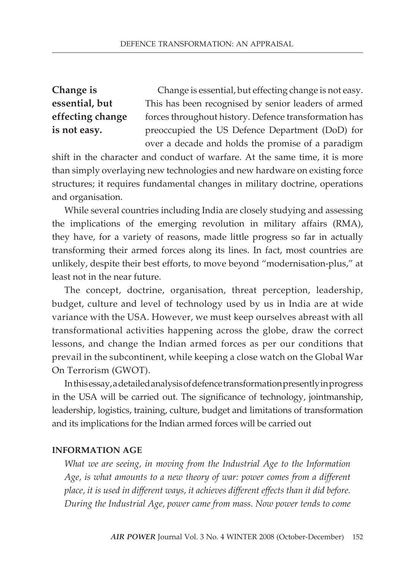**Change is essential, but effecting change is not easy.**

Change is essential, but effecting change is not easy. This has been recognised by senior leaders of armed forces throughout history. Defence transformation has preoccupied the US Defence Department (DoD) for over a decade and holds the promise of a paradigm

shift in the character and conduct of warfare. At the same time, it is more than simply overlaying new technologies and new hardware on existing force structures; it requires fundamental changes in military doctrine, operations and organisation.

While several countries including India are closely studying and assessing the implications of the emerging revolution in military affairs (RMA), they have, for a variety of reasons, made little progress so far in actually transforming their armed forces along its lines. In fact, most countries are unlikely, despite their best efforts, to move beyond "modernisation-plus," at least not in the near future.

The concept, doctrine, organisation, threat perception, leadership, budget, culture and level of technology used by us in India are at wide variance with the USA. However, we must keep ourselves abreast with all transformational activities happening across the globe, draw the correct lessons, and change the Indian armed forces as per our conditions that prevail in the subcontinent, while keeping a close watch on the Global War On Terrorism (GWOT).

In this essay, a detailed analysis of defence transformation presently in progress in the USA will be carried out. The significance of technology, jointmanship, leadership, logistics, training, culture, budget and limitations of transformation and its implications for the Indian armed forces will be carried out

#### **Information Age**

*What we are seeing, in moving from the Industrial Age to the Information Age, is what amounts to a new theory of war: power comes from a different place, it is used in different ways, it achieves different effects than it did before. During the Industrial Age, power came from mass. Now power tends to come*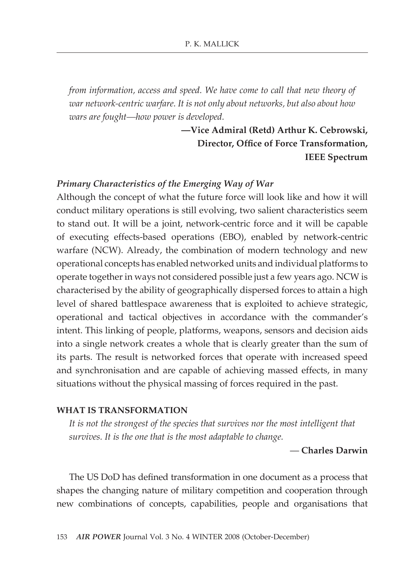*from information, access and speed. We have come to call that new theory of war network-centric warfare. It is not only about networks, but also about how wars are fought—how power is developed.*

> **—Vice Admiral (Retd) Arthur K. Cebrowski, Director, Office of Force Transformation, IEEE Spectrum**

#### *Primary Characteristics of the Emerging Way of War*

Although the concept of what the future force will look like and how it will conduct military operations is still evolving, two salient characteristics seem to stand out. It will be a joint, network-centric force and it will be capable of executing effects-based operations (EBO), enabled by network-centric warfare (NCW). Already, the combination of modern technology and new operational concepts has enabled networked units and individual platforms to operate together in ways not considered possible just a few years ago. NCW is characterised by the ability of geographically dispersed forces to attain a high level of shared battlespace awareness that is exploited to achieve strategic, operational and tactical objectives in accordance with the commander's intent. This linking of people, platforms, weapons, sensors and decision aids into a single network creates a whole that is clearly greater than the sum of its parts. The result is networked forces that operate with increased speed and synchronisation and are capable of achieving massed effects, in many situations without the physical massing of forces required in the past.

#### **What Is Transformation**

*It is not the strongest of the species that survives nor the most intelligent that survives. It is the one that is the most adaptable to change.*

#### — **Charles Darwin**

The US DoD has defined transformation in one document as a process that shapes the changing nature of military competition and cooperation through new combinations of concepts, capabilities, people and organisations that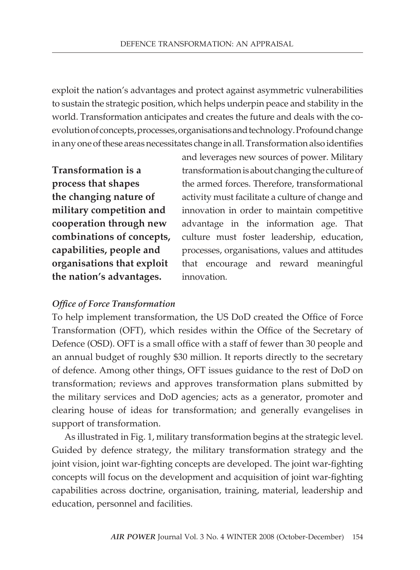exploit the nation's advantages and protect against asymmetric vulnerabilities to sustain the strategic position, which helps underpin peace and stability in the world. Transformation anticipates and creates the future and deals with the coevolution of concepts, processes, organisations and technology. Profound change in any one of these areas necessitates change in all. Transformation also identifies

**Transformation is a process that shapes the changing nature of military competition and cooperation through new combinations of concepts, capabilities, people and organisations that exploit the nation's advantages.**

and leverages new sources of power. Military transformation is about changing the culture of the armed forces. Therefore, transformational activity must facilitate a culture of change and innovation in order to maintain competitive advantage in the information age. That culture must foster leadership, education, processes, organisations, values and attitudes that encourage and reward meaningful innovation.

## *Office of Force Transformation*

To help implement transformation, the US DoD created the Office of Force Transformation (OFT), which resides within the Office of the Secretary of Defence (OSD). OFT is a small office with a staff of fewer than 30 people and an annual budget of roughly \$30 million. It reports directly to the secretary of defence. Among other things, OFT issues guidance to the rest of DoD on transformation; reviews and approves transformation plans submitted by the military services and DoD agencies; acts as a generator, promoter and clearing house of ideas for transformation; and generally evangelises in support of transformation.

As illustrated in Fig. 1, military transformation begins at the strategic level. Guided by defence strategy, the military transformation strategy and the joint vision, joint war-fighting concepts are developed. The joint war-fighting concepts will focus on the development and acquisition of joint war-fighting capabilities across doctrine, organisation, training, material, leadership and education, personnel and facilities.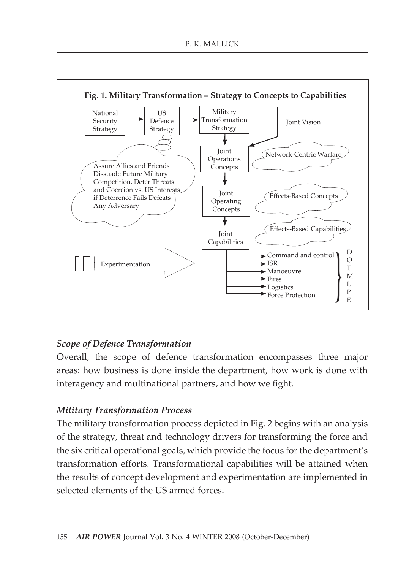

## *Scope of Defence Transformation*

Overall, the scope of defence transformation encompasses three major areas: how business is done inside the department, how work is done with interagency and multinational partners, and how we fight.

## *Military Transformation Process*

The military transformation process depicted in Fig. 2 begins with an analysis of the strategy, threat and technology drivers for transforming the force and the six critical operational goals, which provide the focus for the department's transformation efforts. Transformational capabilities will be attained when the results of concept development and experimentation are implemented in selected elements of the US armed forces.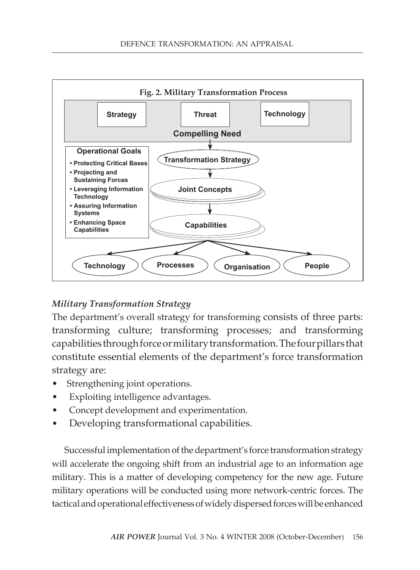

## *Military Transformation Strategy*

The department's overall strategy for transforming consists of three parts: transforming culture; transforming processes; and transforming capabilities through force or military transformation. The four pillars that constitute essential elements of the department's force transformation strategy are:

- Strengthening joint operations.
- Exploiting intelligence advantages.
- Concept development and experimentation.
- Developing transformational capabilities.

Successful implementation of the department's force transformation strategy will accelerate the ongoing shift from an industrial age to an information age military. This is a matter of developing competency for the new age. Future military operations will be conducted using more network-centric forces. The tactical and operational effectiveness of widely dispersed forces will be enhanced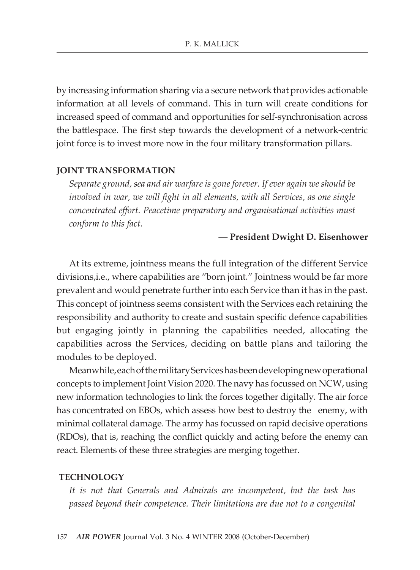by increasing information sharing via a secure network that provides actionable information at all levels of command. This in turn will create conditions for increased speed of command and opportunities for self-synchronisation across the battlespace. The first step towards the development of a network-centric joint force is to invest more now in the four military transformation pillars.

#### **Joint Transformation**

*Separate ground, sea and air warfare is gone forever. If ever again we should be involved in war, we will fight in all elements, with all Services, as one single concentrated effort. Peacetime preparatory and organisational activities must conform to this fact.*

#### — **President Dwight D. Eisenhower**

At its extreme, jointness means the full integration of the different Service divisions,i.e., where capabilities are "born joint." Jointness would be far more prevalent and would penetrate further into each service than it has in the past. This concept of jointness seems consistent with the Services each retaining the responsibility and authority to create and sustain specific defence capabilities but engaging jointly in planning the capabilities needed, allocating the capabilities across the Services, deciding on battle plans and tailoring the modules to be deployed.

Meanwhile, each of the military Services has been developing new operational concepts to implement Joint Vision 2020. The navy has focussed on NCW, using new information technologies to link the forces together digitally. The air force has concentrated on EBOs, which assess how best to destroy the enemy, with minimal collateral damage. The army has focussed on rapid decisive operations (RDOs), that is, reaching the conflict quickly and acting before the enemy can react. Elements of these three strategies are merging together.

#### **Technology**

*It is not that Generals and Admirals are incompetent, but the task has passed beyond their competence. Their limitations are due not to a congenital*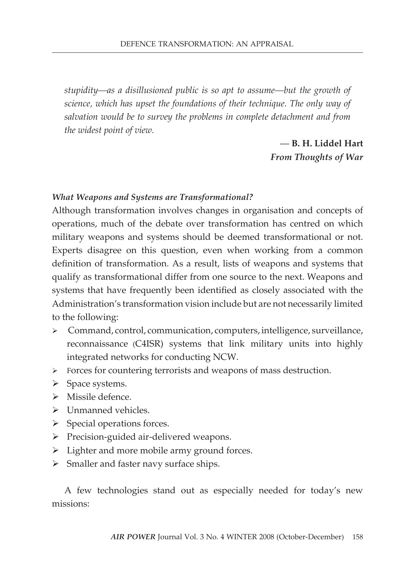*stupidity—as a disillusioned public is so apt to assume—but the growth of science, which has upset the foundations of their technique. The only way of salvation would be to survey the problems in complete detachment and from the widest point of view.*

# — **B. H. Liddel Hart** *From Thoughts of War*

#### *What Weapons and Systems are Transformational?*

Although transformation involves changes in organisation and concepts of operations, much of the debate over transformation has centred on which military weapons and systems should be deemed transformational or not. Experts disagree on this question, even when working from a common definition of transformation. As a result, lists of weapons and systems that qualify as transformational differ from one source to the next. Weapons and systems that have frequently been identified as closely associated with the Administration's transformation vision include but are not necessarily limited to the following:

- Command, control, communication, computers, intelligence, surveillance, reconnaissance (C4ISR) systems that link military units into highly integrated networks for conducting NCW.
- Forces for countering terrorists and weapons of mass destruction.
- $\triangleright$  Space systems.
- > Missile defence.
- > Unmanned vehicles.
- $\triangleright$  Special operations forces.
- > Precision-guided air-delivered weapons.
- $\triangleright$  Lighter and more mobile army ground forces.
- $\triangleright$  Smaller and faster navy surface ships.

A few technologies stand out as especially needed for today's new missions: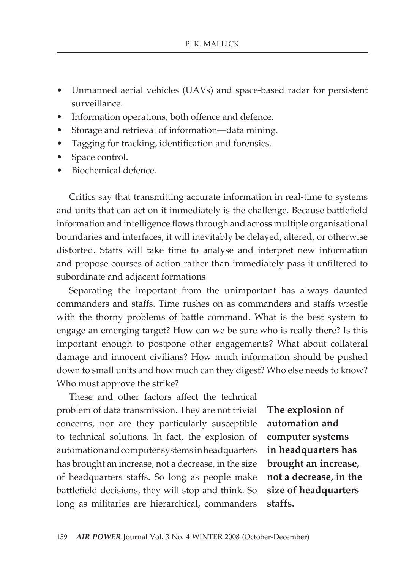- Unmanned aerial vehicles (UAVs) and space-based radar for persistent surveillance.
- Information operations, both offence and defence.
- Storage and retrieval of information—data mining.
- Tagging for tracking, identification and forensics.
- Space control.
- Biochemical defence.

Critics say that transmitting accurate information in real-time to systems and units that can act on it immediately is the challenge. Because battlefield information and intelligence flows through and across multiple organisational boundaries and interfaces, it will inevitably be delayed, altered, or otherwise distorted. Staffs will take time to analyse and interpret new information and propose courses of action rather than immediately pass it unfiltered to subordinate and adjacent formations

Separating the important from the unimportant has always daunted commanders and staffs. Time rushes on as commanders and staffs wrestle with the thorny problems of battle command. What is the best system to engage an emerging target? How can we be sure who is really there? Is this important enough to postpone other engagements? What about collateral damage and innocent civilians? How much information should be pushed down to small units and how much can they digest? Who else needs to know? Who must approve the strike?

These and other factors affect the technical problem of data transmission. They are not trivial concerns, nor are they particularly susceptible to technical solutions. In fact, the explosion of automation and computer systems in headquarters has brought an increase, not a decrease, in the size of headquarters staffs. So long as people make battlefield decisions, they will stop and think. So long as militaries are hierarchical, commanders

**The explosion of automation and computer systems in headquarters has brought an increase, not a decrease, in the size of headquarters staffs.**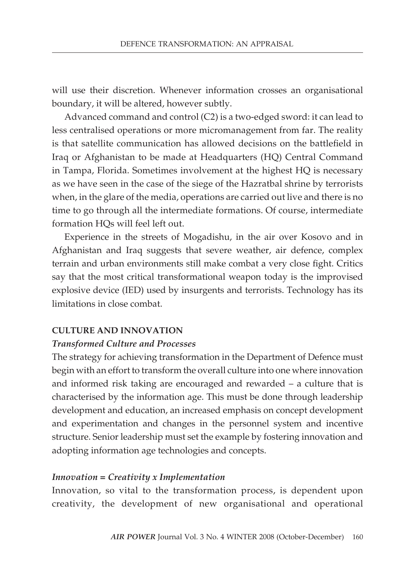will use their discretion. Whenever information crosses an organisational boundary, it will be altered, however subtly.

Advanced command and control (C2) is a two-edged sword: it can lead to less centralised operations or more micromanagement from far. The reality is that satellite communication has allowed decisions on the battlefield in Iraq or Afghanistan to be made at Headquarters (HQ) Central Command in Tampa, Florida. Sometimes involvement at the highest HQ is necessary as we have seen in the case of the siege of the Hazratbal shrine by terrorists when, in the glare of the media, operations are carried out live and there is no time to go through all the intermediate formations. Of course, intermediate formation HQs will feel left out.

Experience in the streets of Mogadishu, in the air over Kosovo and in Afghanistan and Iraq suggests that severe weather, air defence, complex terrain and urban environments still make combat a very close fight. Critics say that the most critical transformational weapon today is the improvised explosive device (IED) used by insurgents and terrorists. Technology has its limitations in close combat.

#### **Culture and Innovation**

#### *Transformed Culture and Processes*

The strategy for achieving transformation in the Department of Defence must begin with an effort to transform the overall culture into one where innovation and informed risk taking are encouraged and rewarded – a culture that is characterised by the information age. This must be done through leadership development and education, an increased emphasis on concept development and experimentation and changes in the personnel system and incentive structure. Senior leadership must set the example by fostering innovation and adopting information age technologies and concepts.

#### *Innovation = Creativity x Implementation*

Innovation, so vital to the transformation process, is dependent upon creativity, the development of new organisational and operational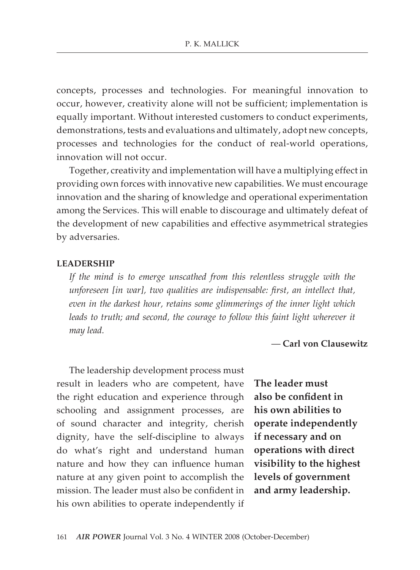concepts, processes and technologies. For meaningful innovation to occur, however, creativity alone will not be sufficient; implementation is equally important. Without interested customers to conduct experiments, demonstrations, tests and evaluations and ultimately, adopt new concepts, processes and technologies for the conduct of real-world operations, innovation will not occur.

Together, creativity and implementation will have a multiplying effect in providing own forces with innovative new capabilities. We must encourage innovation and the sharing of knowledge and operational experimentation among the Services. This will enable to discourage and ultimately defeat of the development of new capabilities and effective asymmetrical strategies by adversaries.

#### **Leadership**

*If the mind is to emerge unscathed from this relentless struggle with the unforeseen [in war], two qualities are indispensable: first, an intellect that, even in the darkest hour, retains some glimmerings of the inner light which leads to truth; and second, the courage to follow this faint light wherever it may lead.*

— **Carl von Clausewitz**

The leadership development process must result in leaders who are competent, have the right education and experience through schooling and assignment processes, are of sound character and integrity, cherish dignity, have the self-discipline to always do what's right and understand human nature and how they can influence human nature at any given point to accomplish the mission. The leader must also be confident in his own abilities to operate independently if

**The leader must also be confident in his own abilities to operate independently if necessary and on operations with direct visibility to the highest levels of government and army leadership.**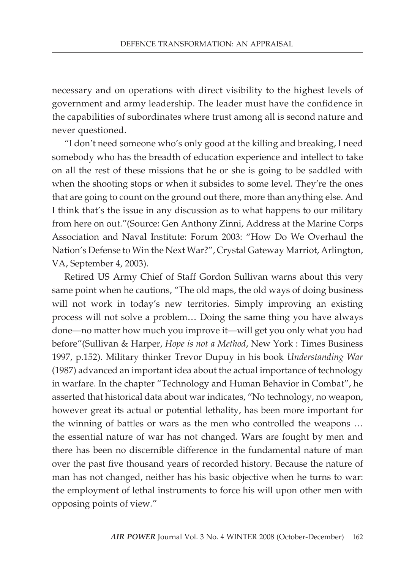necessary and on operations with direct visibility to the highest levels of government and army leadership. The leader must have the confidence in the capabilities of subordinates where trust among all is second nature and never questioned.

"I don't need someone who's only good at the killing and breaking, I need somebody who has the breadth of education experience and intellect to take on all the rest of these missions that he or she is going to be saddled with when the shooting stops or when it subsides to some level. They're the ones that are going to count on the ground out there, more than anything else. And I think that's the issue in any discussion as to what happens to our military from here on out."(Source: Gen Anthony Zinni, Address at the Marine Corps Association and Naval Institute: Forum 2003: "How Do We Overhaul the Nation's Defense to Win the Next War?", Crystal Gateway Marriot, Arlington, VA, September 4, 2003).

Retired US Army Chief of Staff Gordon Sullivan warns about this very same point when he cautions, "The old maps, the old ways of doing business will not work in today's new territories. Simply improving an existing process will not solve a problem… Doing the same thing you have always done—no matter how much you improve it—will get you only what you had before"(Sullivan & Harper, *Hope is not a Method*, New York : Times Business 1997, p.152). Military thinker Trevor Dupuy in his book *Understanding War* (1987) advanced an important idea about the actual importance of technology in warfare. In the chapter "Technology and Human Behavior in Combat", he asserted that historical data about war indicates, "No technology, no weapon, however great its actual or potential lethality, has been more important for the winning of battles or wars as the men who controlled the weapons … the essential nature of war has not changed. Wars are fought by men and there has been no discernible difference in the fundamental nature of man over the past five thousand years of recorded history. Because the nature of man has not changed, neither has his basic objective when he turns to war: the employment of lethal instruments to force his will upon other men with opposing points of view."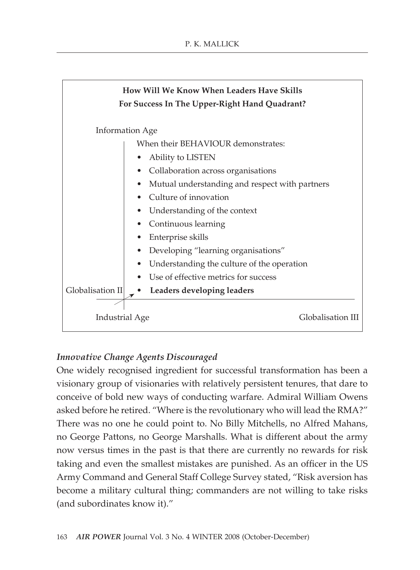

## *Innovative Change Agents Discouraged*

One widely recognised ingredient for successful transformation has been a visionary group of visionaries with relatively persistent tenures, that dare to conceive of bold new ways of conducting warfare. Admiral William Owens asked before he retired. "Where is the revolutionary who will lead the RMA?" There was no one he could point to. No Billy Mitchells, no Alfred Mahans, no George Pattons, no George Marshalls. What is different about the army now versus times in the past is that there are currently no rewards for risk taking and even the smallest mistakes are punished. As an officer in the US Army Command and General Staff College Survey stated, "Risk aversion has become a military cultural thing; commanders are not willing to take risks (and subordinates know it)."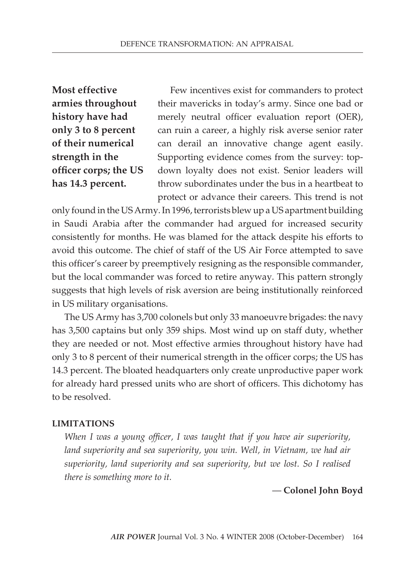**Most effective armies throughout history have had only 3 to 8 percent of their numerical strength in the officer corps; the US has 14.3 percent.**

Few incentives exist for commanders to protect their mavericks in today's army. Since one bad or merely neutral officer evaluation report (OER), can ruin a career, a highly risk averse senior rater can derail an innovative change agent easily. Supporting evidence comes from the survey: topdown loyalty does not exist. Senior leaders will throw subordinates under the bus in a heartbeat to protect or advance their careers. This trend is not

only found in the US Army. In 1996, terrorists blew up a US apartment building in Saudi Arabia after the commander had argued for increased security consistently for months. He was blamed for the attack despite his efforts to avoid this outcome. The chief of staff of the US Air Force attempted to save this officer's career by preemptively resigning as the responsible commander, but the local commander was forced to retire anyway. This pattern strongly suggests that high levels of risk aversion are being institutionally reinforced in US military organisations.

The US Army has 3,700 colonels but only 33 manoeuvre brigades: the navy has 3,500 captains but only 359 ships. Most wind up on staff duty, whether they are needed or not. Most effective armies throughout history have had only 3 to 8 percent of their numerical strength in the officer corps; the US has 14.3 percent. The bloated headquarters only create unproductive paper work for already hard pressed units who are short of officers. This dichotomy has to be resolved.

#### **Limitations**

*When I was a young officer, I was taught that if you have air superiority, land superiority and sea superiority, you win. Well, in Vietnam, we had air superiority, land superiority and sea superiority, but we lost. So I realised there is something more to it.*

#### — **Colonel John Boyd**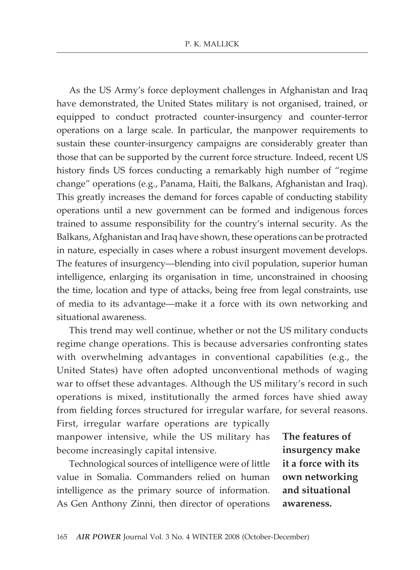As the US Army's force deployment challenges in Afghanistan and Iraq have demonstrated, the United States military is not organised, trained, or equipped to conduct protracted counter-insurgency and counter-terror operations on a large scale. In particular, the manpower requirements to sustain these counter-insurgency campaigns are considerably greater than those that can be supported by the current force structure. Indeed, recent US history finds US forces conducting a remarkably high number of "regime change" operations (e.g., Panama, Haiti, the Balkans, Afghanistan and Iraq). This greatly increases the demand for forces capable of conducting stability operations until a new government can be formed and indigenous forces trained to assume responsibility for the country's internal security. As the Balkans, Afghanistan and Iraq have shown, these operations can be protracted in nature, especially in cases where a robust insurgent movement develops. The features of insurgency—blending into civil population, superior human intelligence, enlarging its organisation in time, unconstrained in choosing the time, location and type of attacks, being free from legal constraints, use of media to its advantage—make it a force with its own networking and situational awareness.

This trend may well continue, whether or not the US military conducts regime change operations. This is because adversaries confronting states with overwhelming advantages in conventional capabilities (e.g., the United States) have often adopted unconventional methods of waging war to offset these advantages. Although the US military's record in such operations is mixed, institutionally the armed forces have shied away from fielding forces structured for irregular warfare, for several reasons.

First, irregular warfare operations are typically manpower intensive, while the US military has become increasingly capital intensive.

Technological sources of intelligence were of little value in Somalia. Commanders relied on human intelligence as the primary source of information. As Gen Anthony Zinni, then director of operations

**The features of insurgency make it a force with its own networking and situational awareness.**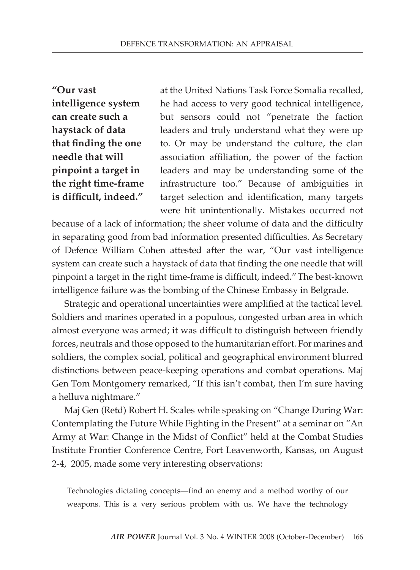**"Our vast intelligence system can create such a haystack of data that finding the one needle that will pinpoint a target in the right time-frame is difficult, indeed."**

at the United Nations Task Force Somalia recalled, he had access to very good technical intelligence, but sensors could not "penetrate the faction leaders and truly understand what they were up to. Or may be understand the culture, the clan association affiliation, the power of the faction leaders and may be understanding some of the infrastructure too." Because of ambiguities in target selection and identification, many targets were hit unintentionally. Mistakes occurred not

because of a lack of information; the sheer volume of data and the difficulty in separating good from bad information presented difficulties. As Secretary of Defence William Cohen attested after the war, "Our vast intelligence system can create such a haystack of data that finding the one needle that will pinpoint a target in the right time-frame is difficult, indeed."The best-known intelligence failure was the bombing of the Chinese Embassy in Belgrade.

Strategic and operational uncertainties were amplified at the tactical level. Soldiers and marines operated in a populous, congested urban area in which almost everyone was armed; it was difficult to distinguish between friendly forces, neutrals and those opposed to the humanitarian effort. For marines and soldiers, the complex social, political and geographical environment blurred distinctions between peace-keeping operations and combat operations. Maj Gen Tom Montgomery remarked, "If this isn't combat, then I'm sure having a helluva nightmare."

Maj Gen (Retd) Robert H. Scales while speaking on "Change During War: Contemplating the Future While Fighting in the Present" at a seminar on "An Army at War: Change in the Midst of Conflict" held at the Combat Studies Institute Frontier Conference Centre, Fort Leavenworth, Kansas, on August 2-4, 2005, made some very interesting observations:

Technologies dictating concepts—find an enemy and a method worthy of our weapons. This is a very serious problem with us. We have the technology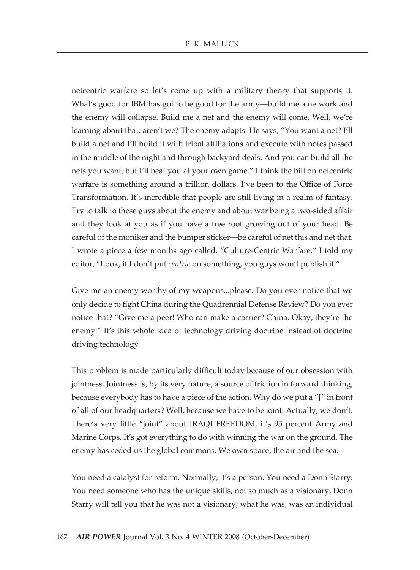netcentric warfare so let's come up with a military theory that supports it. What's good for IBM has got to be good for the army—build me a network and the enemy will collapse. Build me a net and the enemy will come. Well, we're learning about that, aren't we? The enemy adapts. He says, "You want a net? I'll build a net and I'll build it with tribal affiliations and execute with notes passed in the middle of the night and through backyard deals. And you can build all the nets you want, but I'll beat you at your own game." I think the bill on netcentric warfare is something around a trillion dollars. I've been to the Office of Force Transformation. It's incredible that people are still living in a realm of fantasy. Try to talk to these guys about the enemy and about war being a two-sided affair and they look at you as if you have a tree root growing out of your head. Be careful of the moniker and the bumper sticker—be careful of net this and net that. I wrote a piece a few months ago called, "Culture-Centric Warfare." I told my editor, "Look, if I don't put *centric* on something, you guys won't publish it."

Give me an enemy worthy of my weapons...please. Do you ever notice that we only decide to fight China during the Quadrennial Defense Review? Do you ever notice that? "Give me a peer! Who can make a carrier? China. Okay, they're the enemy." It's this whole idea of technology driving doctrine instead of doctrine driving technology

This problem is made particularly difficult today because of our obsession with jointness. Jointness is, by its very nature, a source of friction in forward thinking, because everybody has to have a piece of the action. Why do we put a "J" in front of all of our headquarters? Well, because we have to be joint. Actually, we don't. There's very little "joint" about IRAQI FREEDOM, it's 95 percent Army and Marine Corps. It's got everything to do with winning the war on the ground. The enemy has ceded us the global commons. We own space, the air and the sea.

You need a catalyst for reform. Normally, it's a person. You need a Donn Starry. You need someone who has the unique skills, not so much as a visionary, Donn Starry will tell you that he was not a visionary; what he was, was an individual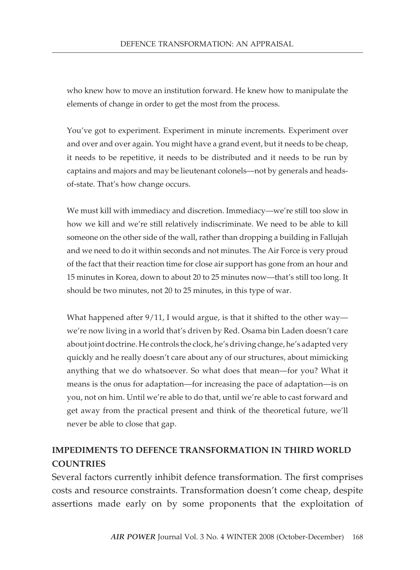who knew how to move an institution forward. He knew how to manipulate the elements of change in order to get the most from the process.

You've got to experiment. Experiment in minute increments. Experiment over and over and over again. You might have a grand event, but it needs to be cheap, it needs to be repetitive, it needs to be distributed and it needs to be run by captains and majors and may be lieutenant colonels—not by generals and headsof-state. That's how change occurs.

We must kill with immediacy and discretion. Immediacy—we're still too slow in how we kill and we're still relatively indiscriminate. We need to be able to kill someone on the other side of the wall, rather than dropping a building in Fallujah and we need to do it within seconds and not minutes. The Air Force is very proud of the fact that their reaction time for close air support has gone from an hour and 15 minutes in Korea, down to about 20 to 25 minutes now—that's still too long. It should be two minutes, not 20 to 25 minutes, in this type of war.

What happened after  $9/11$ , I would argue, is that it shifted to the other way we're now living in a world that's driven by Red. Osama bin Laden doesn't care about joint doctrine. He controls the clock, he's driving change, he's adapted very quickly and he really doesn't care about any of our structures, about mimicking anything that we do whatsoever. So what does that mean—for you? What it means is the onus for adaptation—for increasing the pace of adaptation—is on you, not on him. Until we're able to do that, until we're able to cast forward and get away from the practical present and think of the theoretical future, we'll never be able to close that gap.

# **Impediments To Defence Transformation in Third World Countries**

Several factors currently inhibit defence transformation. The first comprises costs and resource constraints. Transformation doesn't come cheap, despite assertions made early on by some proponents that the exploitation of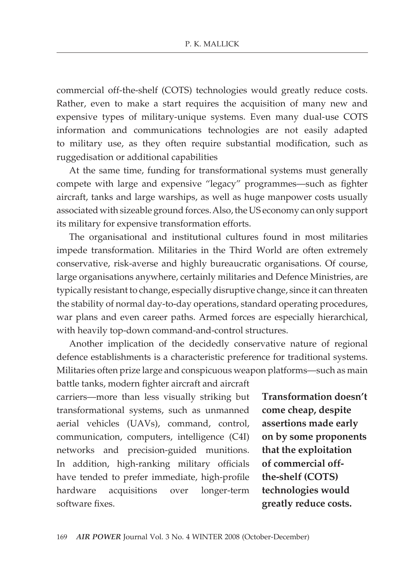commercial off-the-shelf (COTS) technologies would greatly reduce costs. Rather, even to make a start requires the acquisition of many new and expensive types of military-unique systems. Even many dual-use COTS information and communications technologies are not easily adapted to military use, as they often require substantial modification, such as ruggedisation or additional capabilities

At the same time, funding for transformational systems must generally compete with large and expensive "legacy" programmes—such as fighter aircraft, tanks and large warships, as well as huge manpower costs usually associated with sizeable ground forces.Also, the US economy can only support its military for expensive transformation efforts.

The organisational and institutional cultures found in most militaries impede transformation. Militaries in the Third World are often extremely conservative, risk-averse and highly bureaucratic organisations. Of course, large organisations anywhere, certainly militaries and Defence Ministries, are typically resistant to change, especially disruptive change, since it can threaten the stability of normal day-to-day operations, standard operating procedures, war plans and even career paths. Armed forces are especially hierarchical, with heavily top-down command-and-control structures.

Another implication of the decidedly conservative nature of regional defence establishments is a characteristic preference for traditional systems. Militaries often prize large and conspicuous weapon platforms—such as main

battle tanks, modern fighter aircraft and aircraft carriers—more than less visually striking but transformational systems, such as unmanned aerial vehicles (UAVs), command, control, communication, computers, intelligence (C4I) networks and precision-guided munitions. In addition, high-ranking military officials have tended to prefer immediate, high-profile hardware acquisitions over longer-term software fixes.

**Transformation doesn't come cheap, despite assertions made early on by some proponents that the exploitation of commercial offthe-shelf (COTS) technologies would greatly reduce costs.**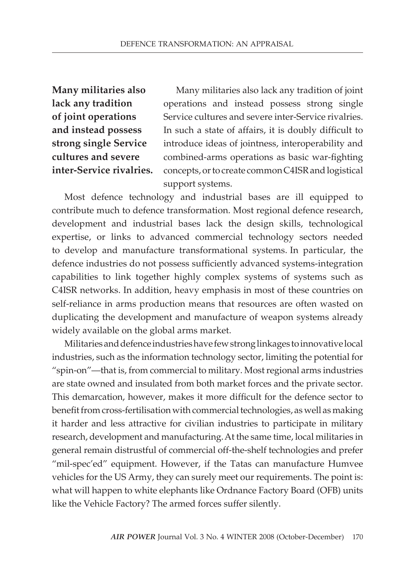# **Many militaries also lack any tradition of joint operations and instead possess strong single Service cultures and severe inter-Service rivalries.**

Many militaries also lack any tradition of joint operations and instead possess strong single Service cultures and severe inter-Service rivalries. In such a state of affairs, it is doubly difficult to introduce ideas of jointness, interoperability and combined-arms operations as basic war-fighting concepts, or to create common C4ISR and logistical support systems.

Most defence technology and industrial bases are ill equipped to contribute much to defence transformation. Most regional defence research, development and industrial bases lack the design skills, technological expertise, or links to advanced commercial technology sectors needed to develop and manufacture transformational systems. In particular, the defence industries do not possess sufficiently advanced systems-integration capabilities to link together highly complex systems of systems such as C4ISR networks. In addition, heavy emphasis in most of these countries on self-reliance in arms production means that resources are often wasted on duplicating the development and manufacture of weapon systems already widely available on the global arms market.

Militaries and defence industries have few strong linkages to innovative local industries, such as the information technology sector, limiting the potential for "spin-on"—that is, from commercial to military. Most regional arms industries are state owned and insulated from both market forces and the private sector. This demarcation, however, makes it more difficult for the defence sector to benefit from cross-fertilisation with commercial technologies, as well as making it harder and less attractive for civilian industries to participate in military research, development and manufacturing.At the same time, local militaries in general remain distrustful of commercial off-the-shelf technologies and prefer "mil-spec'ed" equipment. However, if the Tatas can manufacture Humvee vehicles for the US Army, they can surely meet our requirements. The point is: what will happen to white elephants like Ordnance Factory Board (OFB) units like the Vehicle Factory? The armed forces suffer silently.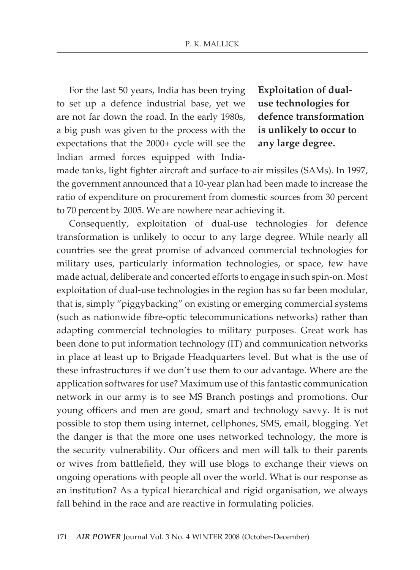For the last 50 years, India has been trying to set up a defence industrial base, yet we are not far down the road. In the early 1980s, a big push was given to the process with the expectations that the 2000+ cycle will see the Indian armed forces equipped with India**Exploitation of dualuse technologies for defence transformation is unlikely to occur to any large degree.** 

made tanks, light fighter aircraft and surface-to-air missiles (SAMs). In 1997, the government announced that a 10-year plan had been made to increase the ratio of expenditure on procurement from domestic sources from 30 percent to 70 percent by 2005. We are nowhere near achieving it.

Consequently, exploitation of dual-use technologies for defence transformation is unlikely to occur to any large degree. While nearly all countries see the great promise of advanced commercial technologies for military uses, particularly information technologies, or space, few have made actual, deliberate and concerted efforts to engage in such spin-on. Most exploitation of dual-use technologies in the region has so far been modular, that is, simply "piggybacking" on existing or emerging commercial systems (such as nationwide fibre-optic telecommunications networks) rather than adapting commercial technologies to military purposes. Great work has been done to put information technology (IT) and communication networks in place at least up to Brigade Headquarters level. But what is the use of these infrastructures if we don't use them to our advantage. Where are the application softwares for use? Maximum use of this fantastic communication network in our army is to see MS Branch postings and promotions. Our young officers and men are good, smart and technology savvy. It is not possible to stop them using internet, cellphones, SMS, email, blogging. Yet the danger is that the more one uses networked technology, the more is the security vulnerability. Our officers and men will talk to their parents or wives from battlefield, they will use blogs to exchange their views on ongoing operations with people all over the world. What is our response as an institution? As a typical hierarchical and rigid organisation, we always fall behind in the race and are reactive in formulating policies.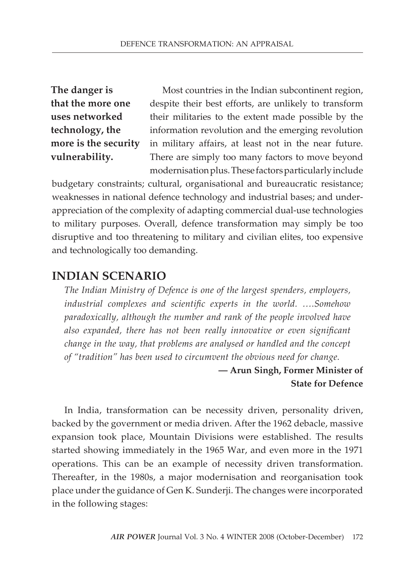# **The danger is that the more one uses networked technology, the more is the security vulnerability.**

Most countries in the Indian subcontinent region, despite their best efforts, are unlikely to transform their militaries to the extent made possible by the information revolution and the emerging revolution in military affairs, at least not in the near future. There are simply too many factors to move beyond modernisation plus. These factors particularly include

budgetary constraints; cultural, organisational and bureaucratic resistance; weaknesses in national defence technology and industrial bases; and underappreciation of the complexity of adapting commercial dual-use technologies to military purposes. Overall, defence transformation may simply be too disruptive and too threatening to military and civilian elites, too expensive and technologically too demanding.

# **Indian Scenario**

*The Indian Ministry of Defence is one of the largest spenders, employers, industrial complexes and scientific experts in the world. ….Somehow paradoxically, although the number and rank of the people involved have also expanded, there has not been really innovative or even significant change in the way, that problems are analysed or handled and the concept of "tradition" has been used to circumvent the obvious need for change.*

# **— Arun Singh, Former Minister of State for Defence**

In India, transformation can be necessity driven, personality driven, backed by the government or media driven. After the 1962 debacle, massive expansion took place, Mountain Divisions were established. The results started showing immediately in the 1965 War, and even more in the 1971 operations. This can be an example of necessity driven transformation. Thereafter, in the 1980s, a major modernisation and reorganisation took place under the guidance of Gen K. Sunderji. The changes were incorporated in the following stages: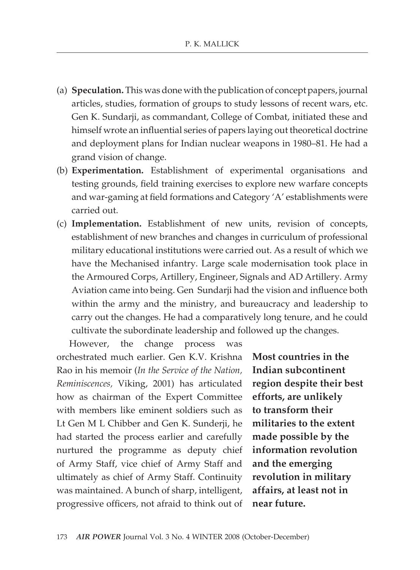- (a) **Speculation.** This was done with the publication of concept papers, journal articles, studies, formation of groups to study lessons of recent wars, etc. Gen K. Sundarji, as commandant, College of Combat, initiated these and himself wrote an influential series of papers laying out theoretical doctrine and deployment plans for Indian nuclear weapons in 1980–81. He had a grand vision of change.
- (b) **Experimentation.** Establishment of experimental organisations and testing grounds, field training exercises to explore new warfare concepts and war-gaming at field formations and Category 'A' establishments were carried out.
- (c) **Implementation.** Establishment of new units, revision of concepts, establishment of new branches and changes in curriculum of professional military educational institutions were carried out. As a result of which we have the Mechanised infantry. Large scale modernisation took place in the Armoured Corps, Artillery, Engineer, Signals and AD Artillery. Army Aviation came into being. Gen Sundarji had the vision and influence both within the army and the ministry, and bureaucracy and leadership to carry out the changes. He had a comparatively long tenure, and he could cultivate the subordinate leadership and followed up the changes.

However, the change process was orchestrated much earlier. Gen K.V. Krishna Rao in his memoir (*In the Service of the Nation, Reminiscences,* Viking, 2001) has articulated how as chairman of the Expert Committee with members like eminent soldiers such as Lt Gen M L Chibber and Gen K. Sunderji, he had started the process earlier and carefully nurtured the programme as deputy chief of Army Staff, vice chief of Army Staff and ultimately as chief of Army Staff. Continuity was maintained. A bunch of sharp, intelligent, progressive officers, not afraid to think out of

**Most countries in the Indian subcontinent region despite their best efforts, are unlikely to transform their militaries to the extent made possible by the information revolution and the emerging revolution in military affairs, at least not in near future.**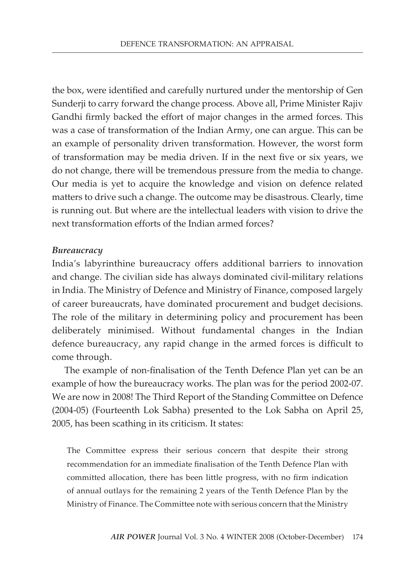the box, were identified and carefully nurtured under the mentorship of Gen Sunderji to carry forward the change process. Above all, Prime Minister Rajiv Gandhi firmly backed the effort of major changes in the armed forces. This was a case of transformation of the Indian Army, one can argue. This can be an example of personality driven transformation. However, the worst form of transformation may be media driven. If in the next five or six years, we do not change, there will be tremendous pressure from the media to change. Our media is yet to acquire the knowledge and vision on defence related matters to drive such a change. The outcome may be disastrous. Clearly, time is running out. But where are the intellectual leaders with vision to drive the next transformation efforts of the Indian armed forces?

#### *Bureaucracy*

India's labyrinthine bureaucracy offers additional barriers to innovation and change. The civilian side has always dominated civil-military relations in India. The Ministry of Defence and Ministry of Finance, composed largely of career bureaucrats, have dominated procurement and budget decisions. The role of the military in determining policy and procurement has been deliberately minimised. Without fundamental changes in the Indian defence bureaucracy, any rapid change in the armed forces is difficult to come through.

The example of non-finalisation of the Tenth Defence Plan yet can be an example of how the bureaucracy works. The plan was for the period 2002-07. We are now in 2008! The Third Report of the Standing Committee on Defence (2004-05) (Fourteenth Lok Sabha) presented to the Lok Sabha on April 25, 2005, has been scathing in its criticism. It states:

The Committee express their serious concern that despite their strong recommendation for an immediate finalisation of the Tenth Defence Plan with committed allocation, there has been little progress, with no firm indication of annual outlays for the remaining 2 years of the Tenth Defence Plan by the Ministry of Finance. The Committee note with serious concern that the Ministry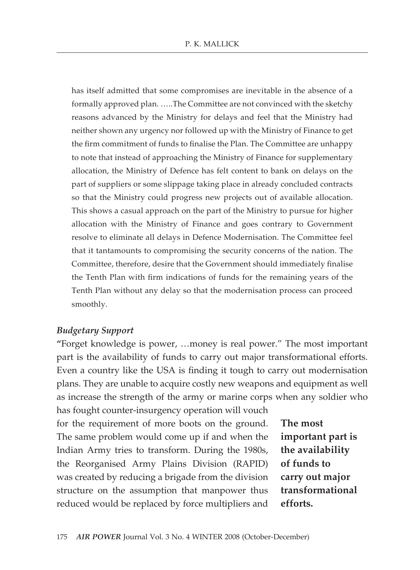has itself admitted that some compromises are inevitable in the absence of a formally approved plan. …..The Committee are not convinced with the sketchy reasons advanced by the Ministry for delays and feel that the Ministry had neither shown any urgency nor followed up with the Ministry of Finance to get the firm commitment of funds to finalise the Plan. The Committee are unhappy to note that instead of approaching the Ministry of Finance for supplementary allocation, the Ministry of Defence has felt content to bank on delays on the part of suppliers or some slippage taking place in already concluded contracts so that the Ministry could progress new projects out of available allocation. This shows a casual approach on the part of the Ministry to pursue for higher allocation with the Ministry of Finance and goes contrary to Government resolve to eliminate all delays in Defence Modernisation. The Committee feel that it tantamounts to compromising the security concerns of the nation. The Committee, therefore, desire that the Government should immediately finalise the Tenth Plan with firm indications of funds for the remaining years of the Tenth Plan without any delay so that the modernisation process can proceed smoothly.

#### *Budgetary Support*

**"**Forget knowledge is power, …money is real power." The most important part is the availability of funds to carry out major transformational efforts. Even a country like the USA is finding it tough to carry out modernisation plans. They are unable to acquire costly new weapons and equipment as well as increase the strength of the army or marine corps when any soldier who

has fought counter-insurgency operation will vouch for the requirement of more boots on the ground. The same problem would come up if and when the Indian Army tries to transform. During the 1980s, the Reorganised Army Plains Division (RAPID) was created by reducing a brigade from the division structure on the assumption that manpower thus reduced would be replaced by force multipliers and

**The most important part is the availability of funds to carry out major transformational efforts.**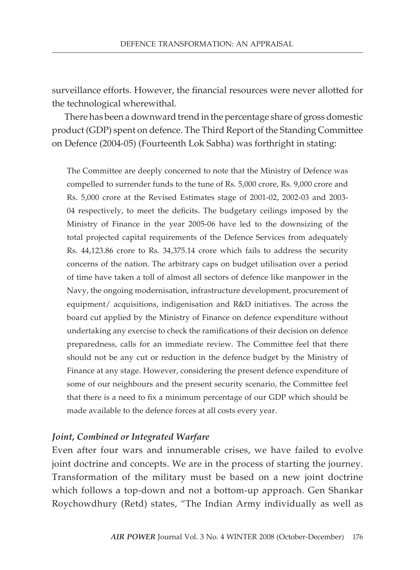surveillance efforts. However, the financial resources were never allotted for the technological wherewithal.

There has been a downward trend in the percentage share of gross domestic product (GDP) spent on defence. The Third Report of the Standing Committee on Defence (2004-05) (Fourteenth Lok Sabha) was forthright in stating:

The Committee are deeply concerned to note that the Ministry of Defence was compelled to surrender funds to the tune of Rs. 5,000 crore, Rs. 9,000 crore and Rs. 5,000 crore at the Revised Estimates stage of 2001-02, 2002-03 and 2003- 04 respectively, to meet the deficits. The budgetary ceilings imposed by the Ministry of Finance in the year 2005-06 have led to the downsizing of the total projected capital requirements of the Defence Services from adequately Rs. 44,123.86 crore to Rs. 34,375.14 crore which fails to address the security concerns of the nation. The arbitrary caps on budget utilisation over a period of time have taken a toll of almost all sectors of defence like manpower in the Navy, the ongoing modernisation, infrastructure development, procurement of equipment/ acquisitions, indigenisation and R&D initiatives. The across the board cut applied by the Ministry of Finance on defence expenditure without undertaking any exercise to check the ramifications of their decision on defence preparedness, calls for an immediate review. The Committee feel that there should not be any cut or reduction in the defence budget by the Ministry of Finance at any stage. However, considering the present defence expenditure of some of our neighbours and the present security scenario, the Committee feel that there is a need to fix a minimum percentage of our GDP which should be made available to the defence forces at all costs every year.

#### *Joint, Combined or Integrated Warfare*

Even after four wars and innumerable crises, we have failed to evolve joint doctrine and concepts. We are in the process of starting the journey. Transformation of the military must be based on a new joint doctrine which follows a top-down and not a bottom-up approach. Gen Shankar Roychowdhury (Retd) states, "The Indian Army individually as well as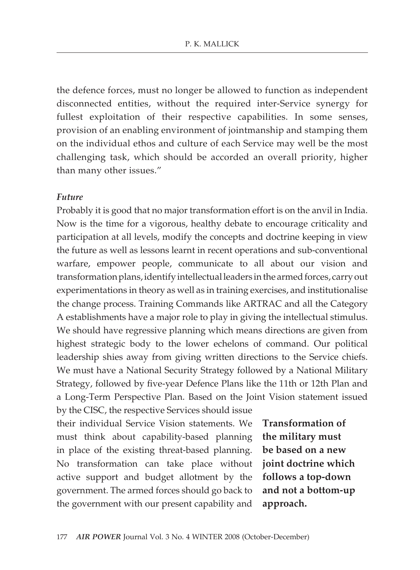the defence forces, must no longer be allowed to function as independent disconnected entities, without the required inter-Service synergy for fullest exploitation of their respective capabilities. In some senses, provision of an enabling environment of jointmanship and stamping them on the individual ethos and culture of each Service may well be the most challenging task, which should be accorded an overall priority, higher than many other issues."

#### *Future*

Probably it is good that no major transformation effort is on the anvil in India. Now is the time for a vigorous, healthy debate to encourage criticality and participation at all levels, modify the concepts and doctrine keeping in view the future as well as lessons learnt in recent operations and sub-conventional warfare, empower people, communicate to all about our vision and transformation plans, identify intellectual leaders in the armed forces, carry out experimentations in theory as well as in training exercises, and institutionalise the change process. Training Commands like ARTRAC and all the Category A establishments have a major role to play in giving the intellectual stimulus. We should have regressive planning which means directions are given from highest strategic body to the lower echelons of command. Our political leadership shies away from giving written directions to the Service chiefs. We must have a National Security Strategy followed by a National Military Strategy, followed by five-year Defence Plans like the 11th or 12th Plan and a Long-Term Perspective Plan. Based on the Joint Vision statement issued by the CISC, the respective Services should issue

their individual Service Vision statements. We must think about capability-based planning in place of the existing threat-based planning. No transformation can take place without **joint doctrine which**  active support and budget allotment by the government. The armed forces should go back to the government with our present capability and

**Transformation of the military must be based on a new follows a top-down and not a bottom-up approach.**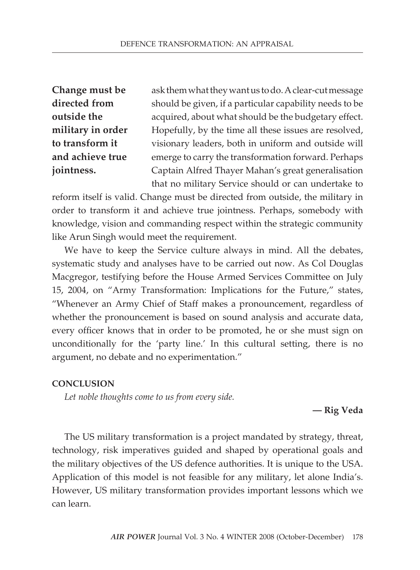**Change must be directed from outside the military in order to transform it and achieve true jointness.**

ask them what they want us to do. A clear-cut message should be given, if a particular capability needs to be acquired, about what should be the budgetary effect. Hopefully, by the time all these issues are resolved, visionary leaders, both in uniform and outside will emerge to carry the transformation forward. Perhaps Captain Alfred Thayer Mahan's great generalisation that no military Service should or can undertake to

reform itself is valid. Change must be directed from outside, the military in order to transform it and achieve true jointness. Perhaps, somebody with knowledge, vision and commanding respect within the strategic community like Arun Singh would meet the requirement.

We have to keep the Service culture always in mind. All the debates, systematic study and analyses have to be carried out now. As Col Douglas Macgregor, testifying before the House Armed Services Committee on July 15, 2004, on "Army Transformation: Implications for the Future," states, "Whenever an Army Chief of Staff makes a pronouncement, regardless of whether the pronouncement is based on sound analysis and accurate data, every officer knows that in order to be promoted, he or she must sign on unconditionally for the 'party line.' In this cultural setting, there is no argument, no debate and no experimentation."

#### **Conclusion**

*Let noble thoughts come to us from every side.*

#### **— Rig Veda**

The US military transformation is a project mandated by strategy, threat, technology, risk imperatives guided and shaped by operational goals and the military objectives of the US defence authorities. It is unique to the USA. Application of this model is not feasible for any military, let alone India's. However, US military transformation provides important lessons which we can learn.